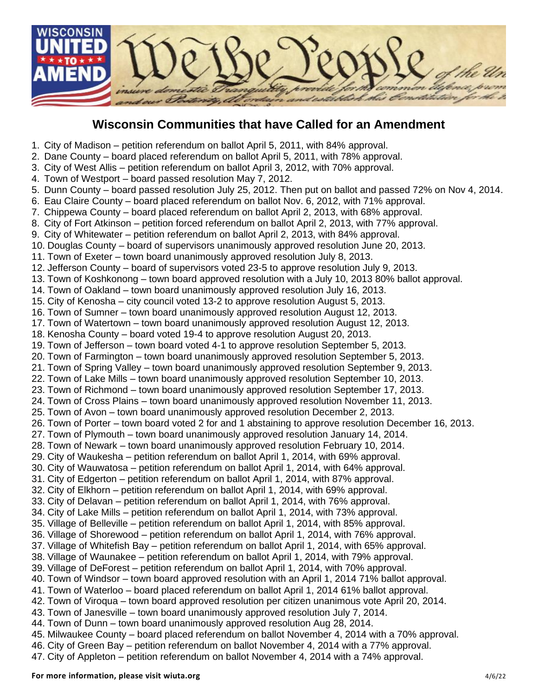

## **Wisconsin Communities that have Called for an Amendment**

- 1. City of Madison petition referendum on ballot April 5, 2011, with 84% approval.
- 2. Dane County board placed referendum on ballot April 5, 2011, with 78% approval.
- 3. City of West Allis petition referendum on ballot April 3, 2012, with 70% approval.
- 4. Town of Westport board passed resolution May 7, 2012.
- 5. Dunn County board passed resolution July 25, 2012. Then put on ballot and passed 72% on Nov 4, 2014.
- 6. Eau Claire County board placed referendum on ballot Nov. 6, 2012, with 71% approval.
- 7. Chippewa County board placed referendum on ballot April 2, 2013, with 68% approval.
- 8. City of Fort Atkinson petition forced referendum on ballot April 2, 2013, with 77% approval.
- 9. City of Whitewater petition referendum on ballot April 2, 2013, with 84% approval.
- 10. Douglas County board of supervisors unanimously approved resolution June 20, 2013.
- 11. Town of Exeter town board unanimously approved resolution July 8, 2013.
- 12. Jefferson County board of supervisors voted 23-5 to approve resolution July 9, 2013.
- 13. Town of Koshkonong town board approved resolution with a July 10, 2013 80% ballot approval.
- 14. Town of Oakland town board unanimously approved resolution July 16, 2013.
- 15. City of Kenosha city council voted 13-2 to approve resolution August 5, 2013.
- 16. Town of Sumner town board unanimously approved resolution August 12, 2013.
- 17. Town of Watertown town board unanimously approved resolution August 12, 2013.
- 18. Kenosha County board voted 19-4 to approve resolution August 20, 2013.
- 19. Town of Jefferson town board voted 4-1 to approve resolution September 5, 2013.
- 20. Town of Farmington town board unanimously approved resolution September 5, 2013.
- 21. Town of Spring Valley town board unanimously approved resolution September 9, 2013.
- 22. Town of Lake Mills town board unanimously approved resolution September 10, 2013.
- 23. Town of Richmond town board unanimously approved resolution September 17, 2013.
- 24. Town of Cross Plains town board unanimously approved resolution November 11, 2013.
- 25. Town of Avon town board unanimously approved resolution December 2, 2013.
- 26. Town of Porter town board voted 2 for and 1 abstaining to approve resolution December 16, 2013.
- 27. Town of Plymouth town board unanimously approved resolution January 14, 2014.
- 28. Town of Newark town board unanimously approved resolution February 10, 2014.
- 29. City of Waukesha petition referendum on ballot April 1, 2014, with 69% approval.
- 30. City of Wauwatosa petition referendum on ballot April 1, 2014, with 64% approval.
- 31. City of Edgerton petition referendum on ballot April 1, 2014, with 87% approval.
- 32. City of Elkhorn petition referendum on ballot April 1, 2014, with 69% approval.
- 33. City of Delavan petition referendum on ballot April 1, 2014, with 76% approval.
- 34. City of Lake Mills petition referendum on ballot April 1, 2014, with 73% approval.
- 35. Village of Belleville petition referendum on ballot April 1, 2014, with 85% approval.
- 36. Village of Shorewood petition referendum on ballot April 1, 2014, with 76% approval.
- 37. Village of Whitefish Bay petition referendum on ballot April 1, 2014, with 65% approval.
- 38. Village of Waunakee petition referendum on ballot April 1, 2014, with 79% approval.
- 39. Village of DeForest petition referendum on ballot April 1, 2014, with 70% approval.
- 40. Town of Windsor town board approved resolution with an April 1, 2014 71% ballot approval.
- 41. Town of Waterloo board placed referendum on ballot April 1, 2014 61% ballot approval.
- 42. Town of Viroqua town board approved resolution per citizen unanimous vote April 20, 2014.
- 43. Town of Janesville town board unanimously approved resolution July 7, 2014.
- 44. Town of Dunn town board unanimously approved resolution Aug 28, 2014.
- 45. Milwaukee County board placed referendum on ballot November 4, 2014 with a 70% approval.
- 46. City of Green Bay petition referendum on ballot November 4, 2014 with a 77% approval.
- 47. City of Appleton petition referendum on ballot November 4, 2014 with a 74% approval.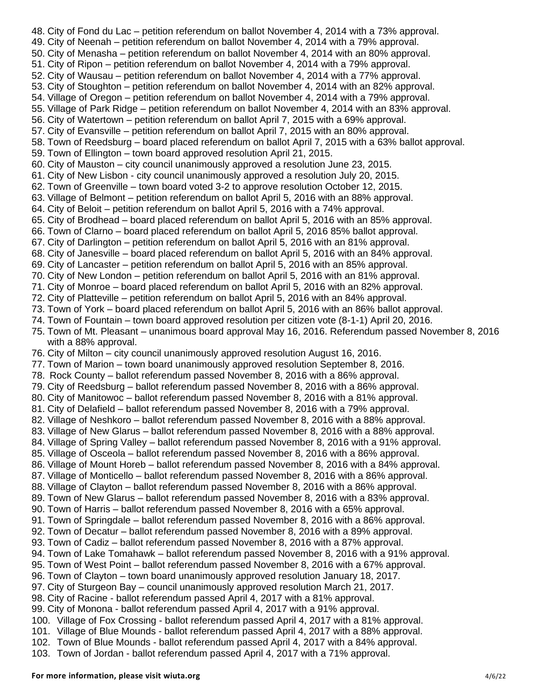48. City of Fond du Lac – petition referendum on ballot November 4, 2014 with a 73% approval. 49. City of Neenah – petition referendum on ballot November 4, 2014 with a 79% approval. 50. City of Menasha – petition referendum on ballot November 4, 2014 with an 80% approval. 51. City of Ripon – petition referendum on ballot November 4, 2014 with a 79% approval. 52. City of Wausau – petition referendum on ballot November 4, 2014 with a 77% approval. 53. City of Stoughton – petition referendum on ballot November 4, 2014 with an 82% approval. 54. Village of Oregon – petition referendum on ballot November 4, 2014 with a 79% approval. 55. Village of Park Ridge – petition referendum on ballot November 4, 2014 with an 83% approval. 56. City of Watertown – petition referendum on ballot April 7, 2015 with a 69% approval. 57. City of Evansville – petition referendum on ballot April 7, 2015 with an 80% approval. 58. Town of Reedsburg – board placed referendum on ballot April 7, 2015 with a 63% ballot approval. 59. Town of Ellington – town board approved resolution April 21, 2015. 60. City of Mauston – city council unanimously approved a resolution June 23, 2015. 61. City of New Lisbon - city council unanimously approved a resolution July 20, 2015. 62. Town of Greenville – town board voted 3-2 to approve resolution October 12, 2015. 63. Village of Belmont – petition referendum on ballot April 5, 2016 with an 88% approval. 64. City of Beloit – petition referendum on ballot April 5, 2016 with a 74% approval. 65. City of Brodhead – board placed referendum on ballot April 5, 2016 with an 85% approval. 66. Town of Clarno – board placed referendum on ballot April 5, 2016 85% ballot approval. 67. City of Darlington – petition referendum on ballot April 5, 2016 with an 81% approval. 68. City of Janesville – board placed referendum on ballot April 5, 2016 with an 84% approval. 69. City of Lancaster – petition referendum on ballot April 5, 2016 with an 85% approval. 70. City of New London – petition referendum on ballot April 5, 2016 with an 81% approval. 71. City of Monroe – board placed referendum on ballot April 5, 2016 with an 82% approval. 72. City of Platteville – petition referendum on ballot April 5, 2016 with an 84% approval. 73. Town of York – board placed referendum on ballot April 5, 2016 with an 86% ballot approval. 74. Town of Fountain – town board approved resolution per citizen vote (8-1-1) April 20, 2016. 75. Town of Mt. Pleasant – unanimous board approval May 16, 2016. Referendum passed November 8, 2016 with a 88% approval. 76. City of Milton – city council unanimously approved resolution August 16, 2016. 77. Town of Marion – town board unanimously approved resolution September 8, 2016. 78. Rock County – ballot referendum passed November 8, 2016 with a 86% approval. 79. City of Reedsburg – ballot referendum passed November 8, 2016 with a 86% approval. 80. City of Manitowoc – ballot referendum passed November 8, 2016 with a 81% approval. 81. City of Delafield – ballot referendum passed November 8, 2016 with a 79% approval. 82. Village of Neshkoro – ballot referendum passed November 8, 2016 with a 88% approval. 83. Village of New Glarus – ballot referendum passed November 8, 2016 with a 88% approval. 84. Village of Spring Valley – ballot referendum passed November 8, 2016 with a 91% approval. 85. Village of Osceola – ballot referendum passed November 8, 2016 with a 86% approval. 86. Village of Mount Horeb – ballot referendum passed November 8, 2016 with a 84% approval. 87. Village of Monticello – ballot referendum passed November 8, 2016 with a 86% approval. 88. Village of Clayton – ballot referendum passed November 8, 2016 with a 86% approval. 89. Town of New Glarus – ballot referendum passed November 8, 2016 with a 83% approval. 90. Town of Harris – ballot referendum passed November 8, 2016 with a 65% approval. 91. Town of Springdale – ballot referendum passed November 8, 2016 with a 86% approval. 92. Town of Decatur – ballot referendum passed November 8, 2016 with a 89% approval. 93. Town of Cadiz – ballot referendum passed November 8, 2016 with a 87% approval. 94. Town of Lake Tomahawk – ballot referendum passed November 8, 2016 with a 91% approval. 95. Town of West Point – ballot referendum passed November 8, 2016 with a 67% approval. 96. Town of Clayton – town board unanimously approved resolution January 18, 2017. 97. City of Sturgeon Bay – council unanimously approved resolution March 21, 2017. 98. City of Racine - ballot referendum passed April 4, 2017 with a 81% approval. 99. City of Monona - ballot referendum passed April 4, 2017 with a 91% approval. 100. Village of Fox Crossing - ballot referendum passed April 4, 2017 with a 81% approval. 101. Village of Blue Mounds - ballot referendum passed April 4, 2017 with a 88% approval. 102. Town of Blue Mounds - ballot referendum passed April 4, 2017 with a 84% approval. 103. Town of Jordan - ballot referendum passed April 4, 2017 with a 71% approval.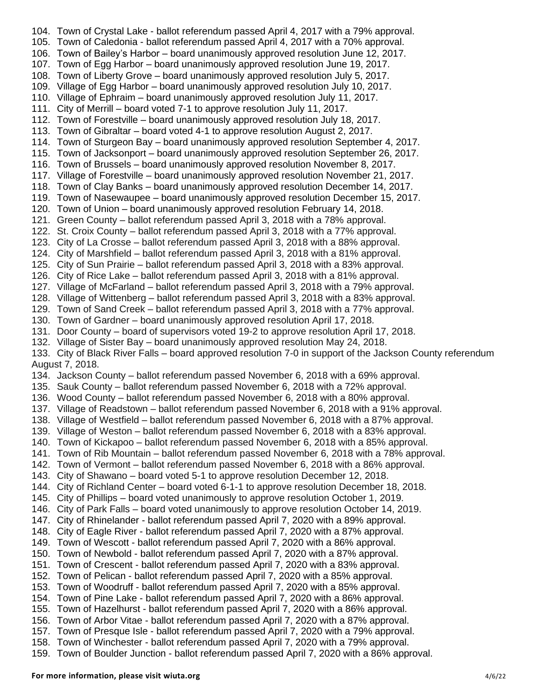104. Town of Crystal Lake - ballot referendum passed April 4, 2017 with a 79% approval. 105. Town of Caledonia - ballot referendum passed April 4, 2017 with a 70% approval. 106. Town of Bailey's Harbor – board unanimously approved resolution June 12, 2017. 107. Town of Egg Harbor – board unanimously approved resolution June 19, 2017. 108. Town of Liberty Grove – board unanimously approved resolution July 5, 2017. 109. Village of Egg Harbor – board unanimously approved resolution July 10, 2017. 110. Village of Ephraim – board unanimously approved resolution July 11, 2017. 111. City of Merrill – board voted 7-1 to approve resolution July 11, 2017. 112. Town of Forestville – board unanimously approved resolution July 18, 2017. 113. Town of Gibraltar – board voted 4-1 to approve resolution August 2, 2017. 114. Town of Sturgeon Bay – board unanimously approved resolution September 4, 2017. 115. Town of Jacksonport – board unanimously approved resolution September 26, 2017. 116. Town of Brussels – board unanimously approved resolution November 8, 2017. 117. Village of Forestville – board unanimously approved resolution November 21, 2017. 118. Town of Clay Banks – board unanimously approved resolution December 14, 2017. 119. Town of Nasewaupee – board unanimously approved resolution December 15, 2017. 120. Town of Union – board unanimously approved resolution February 14, 2018. 121. Green County – ballot referendum passed April 3, 2018 with a 78% approval. 122. St. Croix County – ballot referendum passed April 3, 2018 with a 77% approval. 123. City of La Crosse – ballot referendum passed April 3, 2018 with a 88% approval. 124. City of Marshfield – ballot referendum passed April 3, 2018 with a 81% approval. 125. City of Sun Prairie – ballot referendum passed April 3, 2018 with a 83% approval. 126. City of Rice Lake – ballot referendum passed April 3, 2018 with a 81% approval. 127. Village of McFarland – ballot referendum passed April 3, 2018 with a 79% approval. 128. Village of Wittenberg – ballot referendum passed April 3, 2018 with a 83% approval. 129. Town of Sand Creek – ballot referendum passed April 3, 2018 with a 77% approval. 130. Town of Gardner – board unanimously approved resolution April 17, 2018. 131. Door County – board of supervisors voted 19-2 to approve resolution April 17, 2018. 132. Village of Sister Bay – board unanimously approved resolution May 24, 2018. 133. City of Black River Falls – board approved resolution 7-0 in support of the Jackson County referendum August 7, 2018. 134. Jackson County – ballot referendum passed November 6, 2018 with a 69% approval. 135. Sauk County – ballot referendum passed November 6, 2018 with a 72% approval. 136. Wood County – ballot referendum passed November 6, 2018 with a 80% approval. 137. Village of Readstown – ballot referendum passed November 6, 2018 with a 91% approval. 138. Village of Westfield – ballot referendum passed November 6, 2018 with a 87% approval. 139. Village of Weston – ballot referendum passed November 6, 2018 with a 83% approval. 140. Town of Kickapoo – ballot referendum passed November 6, 2018 with a 85% approval. 141. Town of Rib Mountain – ballot referendum passed November 6, 2018 with a 78% approval. 142. Town of Vermont – ballot referendum passed November 6, 2018 with a 86% approval. 143. City of Shawano – board voted 5-1 to approve resolution December 12, 2018. 144. City of Richland Center – board voted 6-1-1 to approve resolution December 18, 2018. 145. City of Phillips – board voted unanimously to approve resolution October 1, 2019. 146. City of Park Falls – board voted unanimously to approve resolution October 14, 2019. 147. City of Rhinelander - ballot referendum passed April 7, 2020 with a 89% approval. 148. City of Eagle River - ballot referendum passed April 7, 2020 with a 87% approval. 149. Town of Wescott - ballot referendum passed April 7, 2020 with a 86% approval. 150. Town of Newbold - ballot referendum passed April 7, 2020 with a 87% approval. 151. Town of Crescent - ballot referendum passed April 7, 2020 with a 83% approval. 152. Town of Pelican - ballot referendum passed April 7, 2020 with a 85% approval. 153. Town of Woodruff - ballot referendum passed April 7, 2020 with a 85% approval. 154. Town of Pine Lake - ballot referendum passed April 7, 2020 with a 86% approval. 155. Town of Hazelhurst - ballot referendum passed April 7, 2020 with a 86% approval. 156. Town of Arbor Vitae - ballot referendum passed April 7, 2020 with a 87% approval. 157. Town of Presque Isle - ballot referendum passed April 7, 2020 with a 79% approval. 158. Town of Winchester - ballot referendum passed April 7, 2020 with a 79% approval. 159. Town of Boulder Junction - ballot referendum passed April 7, 2020 with a 86% approval.